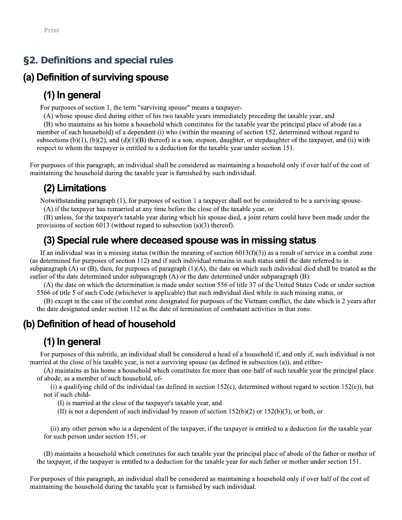# **g2. Definitions and special rules**

**Example 12**<br> **S2. Definitions and special rules**<br> **(a) Definition of surviving spouse**<br> **(1) In general**<br>
For proposes of section 1, the tem "surviving spouse" means a taxpayer-<br>
For proposes of section 1, the tem "survi

 $(A)$  if the taxpayer has remarried at any time before the close of the taxable year, or

(B) unless, for the taxpayer's taxable year during which his spouse died, a joint return could have been made under the provisions of section 6013 (without regard to subsection (a)(3) thereof).

respect to show the transposer is candidation doelection for the task be year under section 15).<br>
For purposes of this parameter, an individual shall be considered as maintaining a bousehold only if over half of the cost

(B) maintains a household which constitutes for such taxable year the principal place of abode of the father or mother of the taxpayer, if the taxpayer is entitled to a deduction for the taxable year for such father or mother under section 151.

For purposes of this paragraph, an individual shall be considered as maintaining a household only if over half of the cost of maintaining the household during the taxable year is furnished by such individual.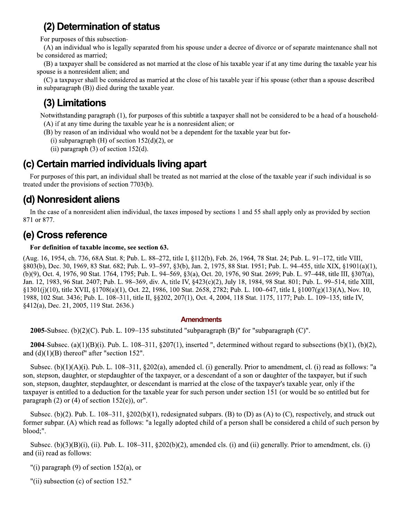# (2) Determination of status

For purposes of this subsection-

(A) an individual who is legally separated from his spouse under a decree of divorce or of separate maintenance shall not be considered as married:

(B) a taxpayer shall be considered as not married at the close of his taxable year if at any time during the taxable year his spouse is a nonresident alien; and

(C) a taxpayer shall be considered as married at the close of his taxable year if his spouse (other than a spouse described in subparagraph (B)) died during the taxable year.

# (3) Limitations

Notwithstanding paragraph (1), for purposes of this subtitle a taxpayer shall not be considered to be a head of a household-(A) if at any time during the taxable year he is a nonresident alien; or

- (B) by reason of an individual who would not be a dependent for the taxable year but for-
	- (i) subparagraph  $(H)$  of section 152(d)(2), or
	- (ii) paragraph  $(3)$  of section 152 $(d)$ .

# (c) Certain married individuals living apart

For purposes of this part, an individual shall be treated as not married at the close of the taxable year if such individual is so treated under the provisions of section 7703(b).

# (d) Nonresident aliens

In the case of a nonresident alien individual, the taxes imposed by sections 1 and 55 shall apply only as provided by section 871 or 877.

# (e) Cross reference

# For definition of taxable income, see section 63.

(Aug. 16, 1954, ch. 736, 68A Stat. 8; Pub. L. 88–272, title I, 8112(b), Feb. 26, 1964, 78 Stat. 24; Pub. L. 91–172, title VIII, §803(b), Dec. 30, 1969, 83 Stat. 682; Pub. L. 93–597, §3(b), Jan. 2, 1975, 88 Stat. 1951; Pub. L. 94–455, title XIX, §1901(a)(1), (b)(9), Oct. 4, 1976, 90 Stat. 1764, 1795; Pub. L. 94–569, §3(a), Oct. 20, 1976, 90 Stat. 2699; Pub. L. 97–448, title III, §307(a), Jan. 12, 1983, 96 Stat. 2407; Pub. L. 98-369, div. A, title IV, §423(c)(2), July 18, 1984, 98 Stat. 801; Pub. L. 99-514, title XIII, §1301(j)(10), title XVII, §1708(a)(1), Oct. 22, 1986, 100 Stat. 2658, 2782; Pub. L. 100–647, title I, §1007(g)(13)(A), Nov. 10, 1988, 102 Stat. 3436; Pub. L. 108-311, title II, §§202, 207(1), Oct. 4, 2004, 118 Stat. 1175, 1177; Pub. L. 109-135, title IV, §412(a), Dec. 21, 2005, 119 Stat. 2636.)

# **Amendments**

**2005**-Subsec. (b)(2)(C). Pub. L. 109–135 substituted "subparagraph (B)" for "subparagraph (C)".

**2004**-Subsec. (a)(1)(B)(i). Pub. L. 108–311, §207(1), inserted ", determined without regard to subsections (b)(1), (b)(2), and  $(d)(1)(B)$  thereof" after "section 152".

Subsec.  $(b)(1)(A)(i)$ . Pub. L. 108–311, §202(a), amended cl. (i) generally. Prior to amendment, cl. (i) read as follows: "a son, stepson, daughter, or stepdaughter of the taxpayer, or a descendant of a son or daughter of the taxpayer, but if such son, stepson, daughter, stepdaughter, or descendant is married at the close of the taxpayer's taxable year, only if the taxpayer is entitled to a deduction for the taxable year for such person under section 151 (or would be so entitled but for paragraph (2) or (4) of section  $152(e)$ , or".

Subsec. (b)(2). Pub. L.  $108-311$ ,  $\S 202(b)(1)$ , redesignated subpars. (B) to (D) as (A) to (C), respectively, and struck out former subpar. (A) which read as follows: "a legally adopted child of a person shall be considered a child of such person by blood:".

Subsec.  $(b)(3)(B)(i)$ , (ii). Pub. L. 108–311, §202(b)(2), amended cls. (i) and (ii) generally. Prior to amendment, cls. (i) and (ii) read as follows:

"(i) paragraph  $(9)$  of section 152(a), or

"(ii) subsection (c) of section 152."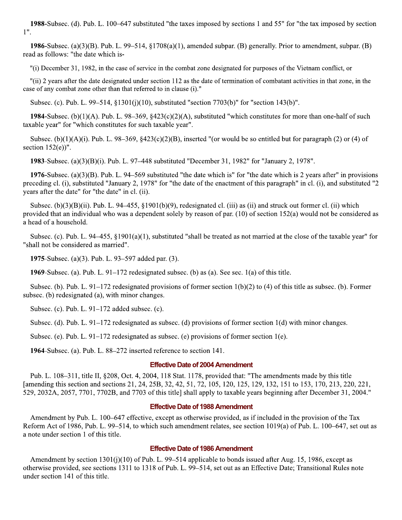1988-Subsec. (d). Pub. L. 100–647 substituted "the taxes imposed by sections 1 and 55" for "the tax imposed by section  $1$ ".

**1986**-Subsec. (a)(3)(B). Pub. L. 99–514, §1708(a)(1), amended subpar. (B) generally. Prior to amendment, subpar. (B) read as follows: "the date which is-

"(i) December 31, 1982, in the case of service in the combat zone designated for purposes of the Vietnam conflict, or

"(ii) 2 years after the date designated under section 112 as the date of termination of combatant activities in that zone, in the case of any combat zone other than that referred to in clause (i)."

Subsec. (c). Pub. L. 99–514, §1301(j)(10), substituted "section 7703(b)" for "section 143(b)".

1984-Subsec. (b)(1)(A). Pub. L.  $98-369$ ,  $$423(c)(2)(A)$ , substituted "which constitutes for more than one-half of such taxable year" for "which constitutes for such taxable year".

Subsec. (b)(1)(A)(i). Pub. L. 98–369, §423(c)(2)(B), inserted "(or would be so entitled but for paragraph (2) or (4) of section  $152(e)$ ".

**1983**-Subsec. (a)(3)(B)(i). Pub. L. 97–448 substituted "December 31, 1982" for "January 2, 1978".

1976-Subsec. (a)(3)(B). Pub. L. 94–569 substituted "the date which is" for "the date which is 2 years after" in provisions preceding cl. (i), substituted "January 2, 1978" for "the date of the enactment of this paragraph" in cl. (i), and substituted "2 years after the date" for "the date" in cl. (ii).

Subsec.  $(b)(3)(B)(ii)$ . Pub. L. 94–455, §1901(b)(9), redesignated cl. (iii) as (ii) and struck out former cl. (ii) which provided that an individual who was a dependent solely by reason of par.  $(10)$  of section 152(a) would not be considered as a head of a household.

Subsec. (c). Pub. L. 94–455,  $\S1901(a)(1)$ , substituted "shall be treated as not married at the close of the taxable year" for "shall not be considered as married".

1975-Subsec. (a)(3). Pub. L. 93–597 added par. (3).

**1969**-Subsec. (a). Pub. L.  $91-172$  redesignated subsec. (b) as (a). See sec. 1(a) of this title.

Subsec. (b). Pub. L.  $91-172$  redesignated provisions of former section  $1(b)(2)$  to (4) of this title as subsec. (b). Former subsec. (b) redesignated (a), with minor changes.

Subsec. (c). Pub. L.  $91-172$  added subsec. (c).

Subsec. (d). Pub. L. 91–172 redesignated as subsec. (d) provisions of former section 1(d) with minor changes.

Subsec. (e). Pub. L. 91–172 redesignated as subsec. (e) provisions of former section 1(e).

1964-Subsec. (a). Pub. L. 88–272 inserted reference to section 141.

## **Effective Date of 2004 Amendment**

Pub. L. 108–311, title II, §208, Oct. 4, 2004, 118 Stat. 1178, provided that: "The amendments made by this title [amending this section and sections 21, 24, 25B, 32, 42, 51, 72, 105, 120, 125, 129, 132, 151 to 153, 170, 213, 220, 221, 529, 2032A, 2057, 7701, 7702B, and 7703 of this title] shall apply to taxable years beginning after December 31, 2004."

## **Effective Date of 1988 Amendment**

Amendment by Pub. L. 100–647 effective, except as otherwise provided, as if included in the provision of the Tax Reform Act of 1986, Pub. L. 99–514, to which such amendment relates, see section 1019(a) of Pub. L. 100–647, set out as a note under section 1 of this title.

## **Effective Date of 1986 Amendment**

Amendment by section  $1301(j)(10)$  of Pub. L. 99–514 applicable to bonds issued after Aug. 15, 1986, except as otherwise provided, see sections 1311 to 1318 of Pub. L. 99–514, set out as an Effective Date; Transitional Rules note under section 141 of this title.